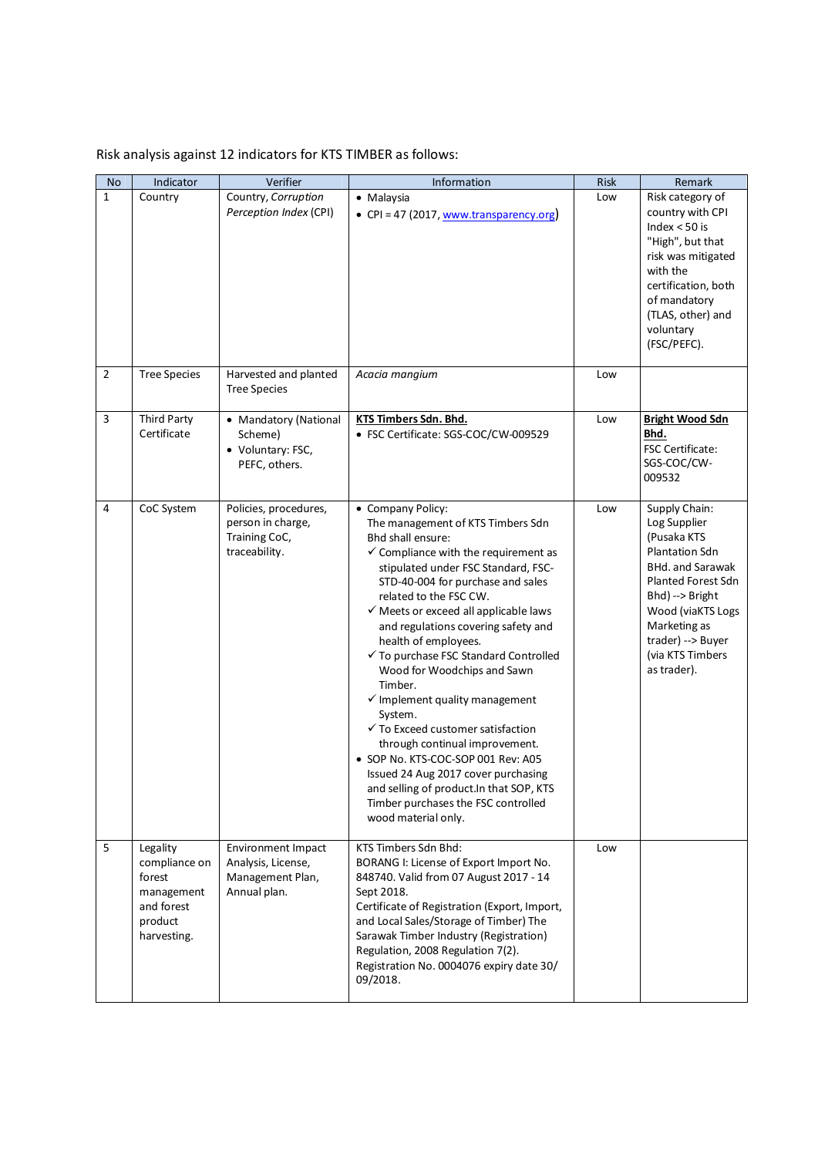## Risk analysis against 12 indicators for KTS TIMBER as follows:

| <b>No</b>      | Indicator                                                                                 | Verifier                                                                     | Information                                                                                                                                                                                                                                                                                                                                                                                                                                                                                                                                                                                                                                                                                                                                                                 | <b>Risk</b> | Remark                                                                                                                                                                                                                          |
|----------------|-------------------------------------------------------------------------------------------|------------------------------------------------------------------------------|-----------------------------------------------------------------------------------------------------------------------------------------------------------------------------------------------------------------------------------------------------------------------------------------------------------------------------------------------------------------------------------------------------------------------------------------------------------------------------------------------------------------------------------------------------------------------------------------------------------------------------------------------------------------------------------------------------------------------------------------------------------------------------|-------------|---------------------------------------------------------------------------------------------------------------------------------------------------------------------------------------------------------------------------------|
| 1              | Country                                                                                   | Country, Corruption<br>Perception Index (CPI)                                | • Malaysia<br>• CPI = 47 (2017, www.transparency.org)                                                                                                                                                                                                                                                                                                                                                                                                                                                                                                                                                                                                                                                                                                                       | Low         | Risk category of<br>country with CPI<br>Index $< 50$ is<br>"High", but that<br>risk was mitigated<br>with the<br>certification, both<br>of mandatory<br>(TLAS, other) and<br>voluntary<br>(FSC/PEFC).                           |
| $\overline{2}$ | <b>Tree Species</b>                                                                       | Harvested and planted<br><b>Tree Species</b>                                 | Acacia mangium                                                                                                                                                                                                                                                                                                                                                                                                                                                                                                                                                                                                                                                                                                                                                              | Low         |                                                                                                                                                                                                                                 |
| 3              | <b>Third Party</b><br>Certificate                                                         | • Mandatory (National<br>Scheme)<br>• Voluntary: FSC,<br>PEFC, others.       | KTS Timbers Sdn. Bhd.<br>• FSC Certificate: SGS-COC/CW-009529                                                                                                                                                                                                                                                                                                                                                                                                                                                                                                                                                                                                                                                                                                               | Low         | <b>Bright Wood Sdn</b><br>Bhd.<br>FSC Certificate:<br>SGS-COC/CW-<br>009532                                                                                                                                                     |
| $\overline{4}$ | CoC System                                                                                | Policies, procedures,<br>person in charge,<br>Training CoC,<br>traceability. | • Company Policy:<br>The management of KTS Timbers Sdn<br>Bhd shall ensure:<br>$\checkmark$ Compliance with the requirement as<br>stipulated under FSC Standard, FSC-<br>STD-40-004 for purchase and sales<br>related to the FSC CW.<br>$\checkmark$ Meets or exceed all applicable laws<br>and regulations covering safety and<br>health of employees.<br>√ To purchase FSC Standard Controlled<br>Wood for Woodchips and Sawn<br>Timber.<br>$\checkmark$ Implement quality management<br>System.<br>$\checkmark$ To Exceed customer satisfaction<br>through continual improvement.<br>· SOP No. KTS-COC-SOP 001 Rev: A05<br>Issued 24 Aug 2017 cover purchasing<br>and selling of product. In that SOP, KTS<br>Timber purchases the FSC controlled<br>wood material only. | Low         | Supply Chain:<br>Log Supplier<br>(Pusaka KTS<br>Plantation Sdn<br><b>BHd. and Sarawak</b><br>Planted Forest Sdn<br>Bhd) --> Bright<br>Wood (viaKTS Logs<br>Marketing as<br>trader) --> Buyer<br>(via KTS Timbers<br>as trader). |
| 5              | Legality<br>compliance on<br>forest<br>management<br>and forest<br>product<br>harvesting. | Environment Impact<br>Analysis, License,<br>Management Plan,<br>Annual plan. | KTS Timbers Sdn Bhd:<br>BORANG I: License of Export Import No.<br>848740. Valid from 07 August 2017 - 14<br>Sept 2018.<br>Certificate of Registration (Export, Import,<br>and Local Sales/Storage of Timber) The<br>Sarawak Timber Industry (Registration)<br>Regulation, 2008 Regulation 7(2).<br>Registration No. 0004076 expiry date 30/<br>09/2018.                                                                                                                                                                                                                                                                                                                                                                                                                     | Low         |                                                                                                                                                                                                                                 |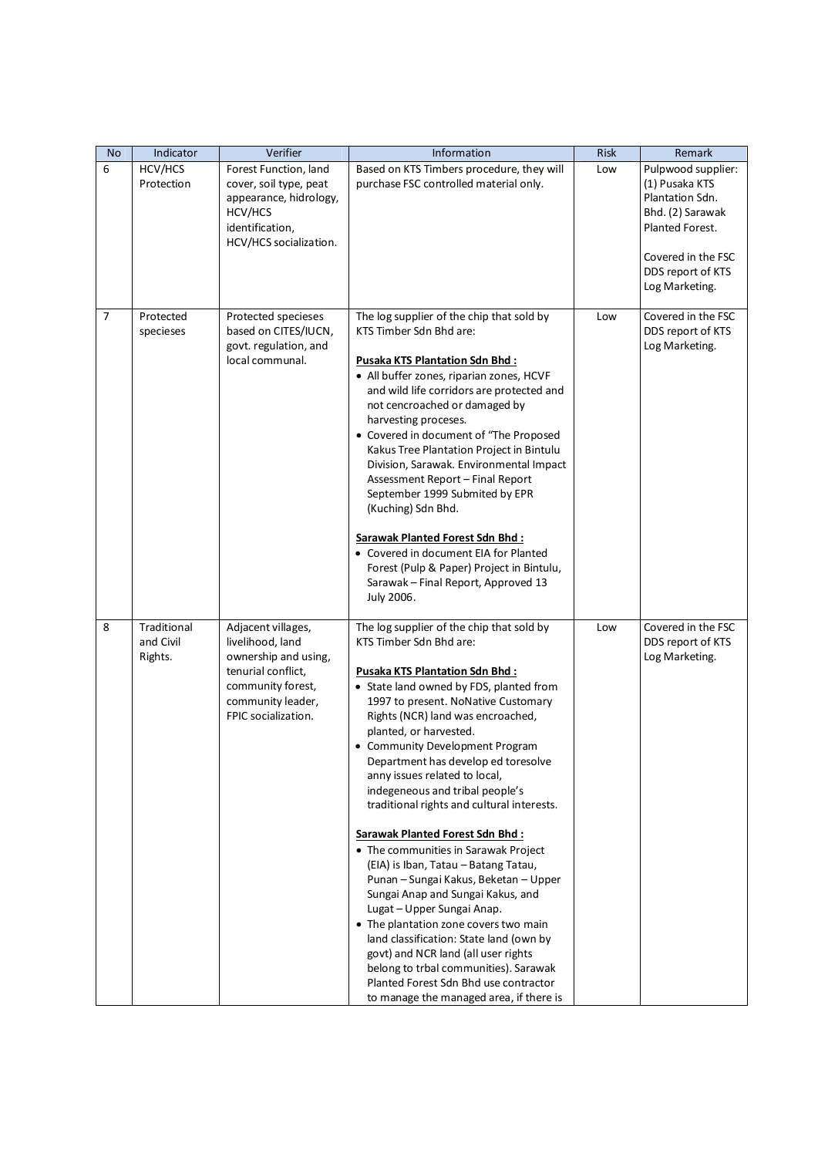| <b>No</b>      | Indicator                           | Verifier                                                                                                                                              | Information                                                                                                                                                                                                                                                                                                                                                                                                                                                                                                                                                                                                                                                                                                                                                                                                                                                                                                                                | <b>Risk</b> | Remark                                                                                                                                                      |
|----------------|-------------------------------------|-------------------------------------------------------------------------------------------------------------------------------------------------------|--------------------------------------------------------------------------------------------------------------------------------------------------------------------------------------------------------------------------------------------------------------------------------------------------------------------------------------------------------------------------------------------------------------------------------------------------------------------------------------------------------------------------------------------------------------------------------------------------------------------------------------------------------------------------------------------------------------------------------------------------------------------------------------------------------------------------------------------------------------------------------------------------------------------------------------------|-------------|-------------------------------------------------------------------------------------------------------------------------------------------------------------|
| 6              | HCV/HCS<br>Protection               | Forest Function, land<br>cover, soil type, peat<br>appearance, hidrology,<br>HCV/HCS<br>identification,<br>HCV/HCS socialization.                     | Based on KTS Timbers procedure, they will<br>purchase FSC controlled material only.                                                                                                                                                                                                                                                                                                                                                                                                                                                                                                                                                                                                                                                                                                                                                                                                                                                        | Low         | Pulpwood supplier:<br>(1) Pusaka KTS<br>Plantation Sdn.<br>Bhd. (2) Sarawak<br>Planted Forest.<br>Covered in the FSC<br>DDS report of KTS<br>Log Marketing. |
| $\overline{7}$ | Protected<br>specieses              | Protected specieses<br>based on CITES/IUCN,<br>govt. regulation, and<br>local communal.                                                               | The log supplier of the chip that sold by<br>KTS Timber Sdn Bhd are:<br><b>Pusaka KTS Plantation Sdn Bhd:</b><br>• All buffer zones, riparian zones, HCVF<br>and wild life corridors are protected and<br>not cencroached or damaged by<br>harvesting proceses.<br>• Covered in document of "The Proposed<br>Kakus Tree Plantation Project in Bintulu<br>Division, Sarawak. Environmental Impact<br>Assessment Report - Final Report<br>September 1999 Submited by EPR<br>(Kuching) Sdn Bhd.<br><b>Sarawak Planted Forest Sdn Bhd:</b><br>• Covered in document EIA for Planted<br>Forest (Pulp & Paper) Project in Bintulu,<br>Sarawak - Final Report, Approved 13<br>July 2006.                                                                                                                                                                                                                                                          | Low         | Covered in the FSC<br>DDS report of KTS<br>Log Marketing.                                                                                                   |
| 8              | Traditional<br>and Civil<br>Rights. | Adjacent villages,<br>livelihood, land<br>ownership and using,<br>tenurial conflict,<br>community forest,<br>community leader,<br>FPIC socialization. | The log supplier of the chip that sold by<br>KTS Timber Sdn Bhd are:<br>Pusaka KTS Plantation Sdn Bhd:<br>• State land owned by FDS, planted from<br>1997 to present. NoNative Customary<br>Rights (NCR) land was encroached,<br>planted, or harvested.<br>• Community Development Program<br>Department has develop ed toresolve<br>anny issues related to local,<br>indegeneous and tribal people's<br>traditional rights and cultural interests.<br>Sarawak Planted Forest Sdn Bhd:<br>• The communities in Sarawak Project<br>(EIA) is Iban, Tatau - Batang Tatau,<br>Punan - Sungai Kakus, Beketan - Upper<br>Sungai Anap and Sungai Kakus, and<br>Lugat - Upper Sungai Anap.<br>• The plantation zone covers two main<br>land classification: State land (own by<br>govt) and NCR land (all user rights<br>belong to trbal communities). Sarawak<br>Planted Forest Sdn Bhd use contractor<br>to manage the managed area, if there is | Low         | Covered in the FSC<br>DDS report of KTS<br>Log Marketing.                                                                                                   |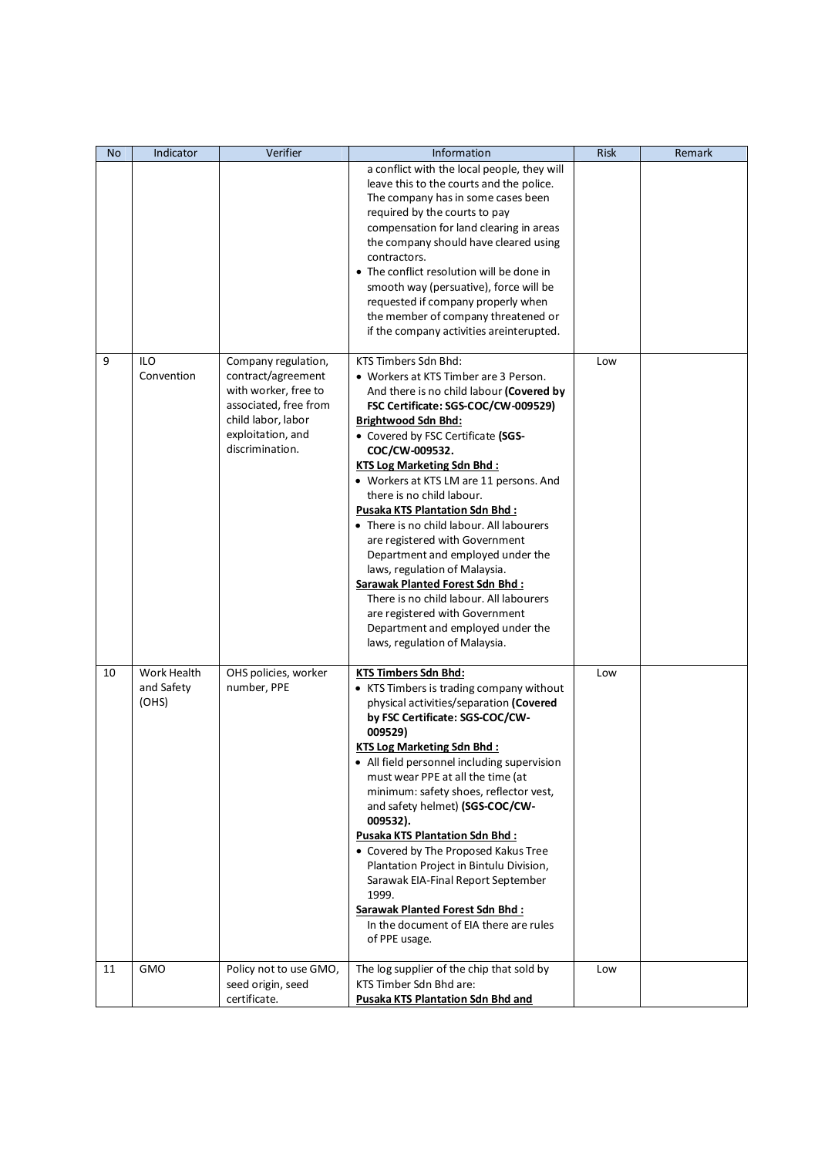| No. | Indicator                          | Verifier                                                                                                                                                 | Information                                                                                                                                                                                                                                                                                                                                                                                                                                                                                                                                                                                                                                                                                                                                    | <b>Risk</b> | Remark |
|-----|------------------------------------|----------------------------------------------------------------------------------------------------------------------------------------------------------|------------------------------------------------------------------------------------------------------------------------------------------------------------------------------------------------------------------------------------------------------------------------------------------------------------------------------------------------------------------------------------------------------------------------------------------------------------------------------------------------------------------------------------------------------------------------------------------------------------------------------------------------------------------------------------------------------------------------------------------------|-------------|--------|
|     |                                    |                                                                                                                                                          | a conflict with the local people, they will<br>leave this to the courts and the police.<br>The company has in some cases been<br>required by the courts to pay<br>compensation for land clearing in areas<br>the company should have cleared using<br>contractors.<br>• The conflict resolution will be done in<br>smooth way (persuative), force will be<br>requested if company properly when<br>the member of company threatened or<br>if the company activities areinterupted.                                                                                                                                                                                                                                                             |             |        |
| 9   | <b>ILO</b><br>Convention           | Company regulation,<br>contract/agreement<br>with worker, free to<br>associated, free from<br>child labor, labor<br>exploitation, and<br>discrimination. | KTS Timbers Sdn Bhd:<br>• Workers at KTS Timber are 3 Person.<br>And there is no child labour (Covered by<br>FSC Certificate: SGS-COC/CW-009529)<br><b>Brightwood Sdn Bhd:</b><br>• Covered by FSC Certificate (SGS-<br>COC/CW-009532.<br><b>KTS Log Marketing Sdn Bhd:</b><br>• Workers at KTS LM are 11 persons. And<br>there is no child labour.<br><b>Pusaka KTS Plantation Sdn Bhd:</b><br>• There is no child labour. All labourers<br>are registered with Government<br>Department and employed under the<br>laws, regulation of Malaysia.<br><b>Sarawak Planted Forest Sdn Bhd:</b><br>There is no child labour. All labourers<br>are registered with Government<br>Department and employed under the<br>laws, regulation of Malaysia. | Low         |        |
| 10  | Work Health<br>and Safety<br>(OHS) | OHS policies, worker<br>number, PPE                                                                                                                      | <b>KTS Timbers Sdn Bhd:</b><br>• KTS Timbers is trading company without<br>physical activities/separation (Covered<br>by FSC Certificate: SGS-COC/CW-<br>009529)<br><b>KTS Log Marketing Sdn Bhd:</b><br>• All field personnel including supervision<br>must wear PPE at all the time (at<br>minimum: safety shoes, reflector vest,<br>and safety helmet) (SGS-COC/CW-<br>009532).<br><b>Pusaka KTS Plantation Sdn Bhd:</b><br>• Covered by The Proposed Kakus Tree<br>Plantation Project in Bintulu Division,<br>Sarawak EIA-Final Report September<br>1999.<br>Sarawak Planted Forest Sdn Bhd:<br>In the document of EIA there are rules<br>of PPE usage.                                                                                    | Low         |        |
| 11  | <b>GMO</b>                         | Policy not to use GMO,<br>seed origin, seed<br>certificate.                                                                                              | The log supplier of the chip that sold by<br>KTS Timber Sdn Bhd are:<br>Pusaka KTS Plantation Sdn Bhd and                                                                                                                                                                                                                                                                                                                                                                                                                                                                                                                                                                                                                                      | Low         |        |